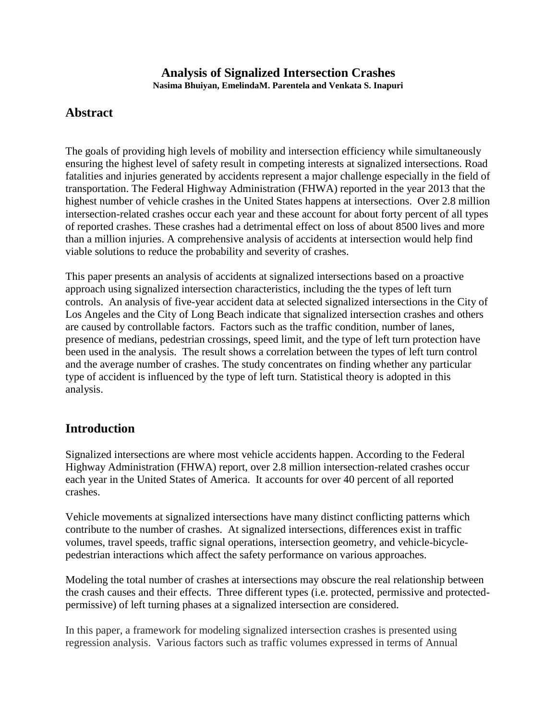#### **Analysis of Signalized Intersection Crashes Nasima Bhuiyan, EmelindaM. Parentela and Venkata S. Inapuri**

### **Abstract**

The goals of providing high levels of mobility and intersection efficiency while simultaneously ensuring the highest level of safety result in competing interests at signalized intersections. Road fatalities and injuries generated by accidents represent a major challenge especially in the field of transportation. The Federal Highway Administration (FHWA) reported in the year 2013 that the highest number of vehicle crashes in the United States happens at intersections. Over 2.8 million intersection-related crashes occur each year and these account for about forty percent of all types of reported crashes. These crashes had a detrimental effect on loss of about 8500 lives and more than a million injuries. A comprehensive analysis of accidents at intersection would help find viable solutions to reduce the probability and severity of crashes.

This paper presents an analysis of accidents at signalized intersections based on a proactive approach using signalized intersection characteristics, including the the types of left turn controls. An analysis of five-year accident data at selected signalized intersections in the City of Los Angeles and the City of Long Beach indicate that signalized intersection crashes and others are caused by controllable factors. Factors such as the traffic condition, number of lanes, presence of medians, pedestrian crossings, speed limit, and the type of left turn protection have been used in the analysis. The result shows a correlation between the types of left turn control and the average number of crashes. The study concentrates on finding whether any particular type of accident is influenced by the type of left turn. Statistical theory is adopted in this analysis.

### **Introduction**

Signalized intersections are where most vehicle accidents happen. According to the Federal Highway Administration (FHWA) report, over 2.8 million intersection-related crashes occur each year in the United States of America. It accounts for over 40 percent of all reported crashes.

Vehicle movements at signalized intersections have many distinct conflicting patterns which contribute to the number of crashes. At signalized intersections, differences exist in traffic volumes, travel speeds, traffic signal operations, intersection geometry, and vehicle-bicyclepedestrian interactions which affect the safety performance on various approaches.

Modeling the total number of crashes at intersections may obscure the real relationship between the crash causes and their effects. Three different types (i.e. protected, permissive and protectedpermissive) of left turning phases at a signalized intersection are considered.

In this paper, a framework for modeling signalized intersection crashes is presented using regression analysis. Various factors such as traffic volumes expressed in terms of Annual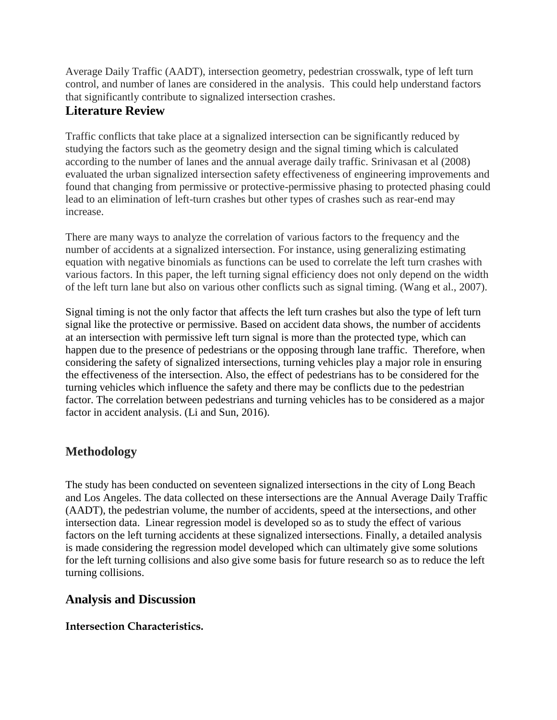Average Daily Traffic (AADT), intersection geometry, pedestrian crosswalk, type of left turn control, and number of lanes are considered in the analysis. This could help understand factors that significantly contribute to signalized intersection crashes.

## **Literature Review**

Traffic conflicts that take place at a signalized intersection can be significantly reduced by studying the factors such as the geometry design and the signal timing which is calculated according to the number of lanes and the annual average daily traffic. Srinivasan et al (2008) evaluated the urban signalized intersection safety effectiveness of engineering improvements and found that changing from permissive or protective-permissive phasing to protected phasing could lead to an elimination of left-turn crashes but other types of crashes such as rear-end may increase.

There are many ways to analyze the correlation of various factors to the frequency and the number of accidents at a signalized intersection. For instance, using generalizing estimating equation with negative binomials as functions can be used to correlate the left turn crashes with various factors. In this paper, the left turning signal efficiency does not only depend on the width of the left turn lane but also on various other conflicts such as signal timing. (Wang et al., 2007).

Signal timing is not the only factor that affects the left turn crashes but also the type of left turn signal like the protective or permissive. Based on accident data shows, the number of accidents at an intersection with permissive left turn signal is more than the protected type, which can happen due to the presence of pedestrians or the opposing through lane traffic. Therefore, when considering the safety of signalized intersections, turning vehicles play a major role in ensuring the effectiveness of the intersection. Also, the effect of pedestrians has to be considered for the turning vehicles which influence the safety and there may be conflicts due to the pedestrian factor. The correlation between pedestrians and turning vehicles has to be considered as a major factor in accident analysis. (Li and Sun, 2016).

# **Methodology**

The study has been conducted on seventeen signalized intersections in the city of Long Beach and Los Angeles. The data collected on these intersections are the Annual Average Daily Traffic (AADT), the pedestrian volume, the number of accidents, speed at the intersections, and other intersection data. Linear regression model is developed so as to study the effect of various factors on the left turning accidents at these signalized intersections. Finally, a detailed analysis is made considering the regression model developed which can ultimately give some solutions for the left turning collisions and also give some basis for future research so as to reduce the left turning collisions.

## **Analysis and Discussion**

#### **Intersection Characteristics.**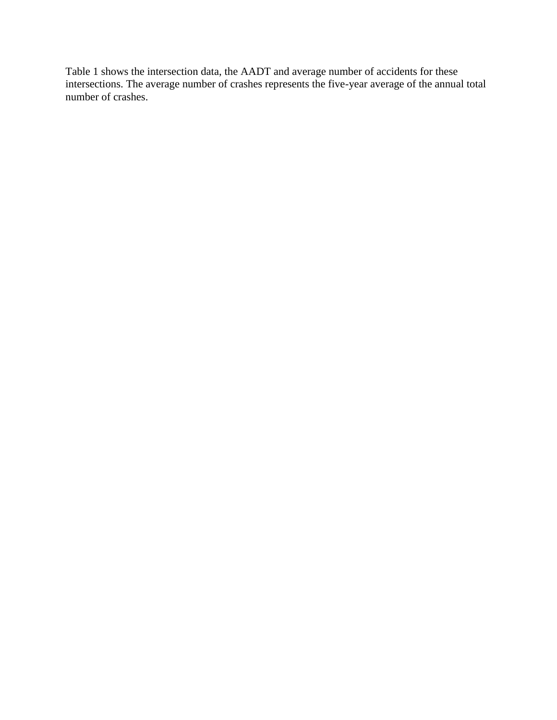Table 1 shows the intersection data, the AADT and average number of accidents for these intersections. The average number of crashes represents the five-year average of the annual total number of crashes.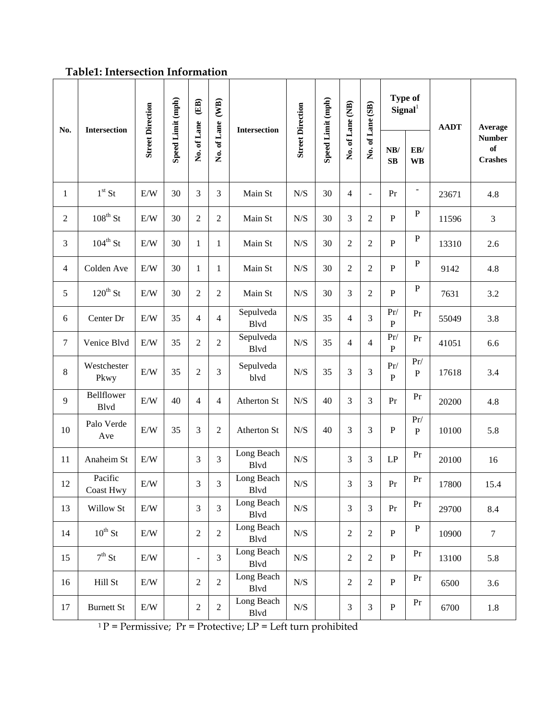## **Table1: Intersection Information**

| No.          | <b>Intersection</b>       | <b>Street Direction</b> | Speed Limit (mph) | (EB)<br>No. of Lane  | (WB)<br>No. of Lane | Intersection       | <b>Street Direction</b> | Speed Limit (mph) | No. of Lane (NB) | No. of Lane (SB)    | <b>Type of</b><br>${\bf Signal}^1$ |                                                  | <b>AADT</b> | Average                               |
|--------------|---------------------------|-------------------------|-------------------|----------------------|---------------------|--------------------|-------------------------|-------------------|------------------|---------------------|------------------------------------|--------------------------------------------------|-------------|---------------------------------------|
|              |                           |                         |                   |                      |                     |                    |                         |                   |                  |                     | NB/<br>$\mathbf{S}\mathbf{B}$      | $\mathbf{E}\mathbf{B}/% \mathbf{B}$<br><b>WB</b> |             | <b>Number</b><br>of<br><b>Crashes</b> |
| $\mathbf{1}$ | $1st$ St                  | E/W                     | 30                | 3                    | $\mathfrak{Z}$      | Main St            | N/S                     | 30                | $\overline{4}$   | $\bar{\phantom{a}}$ | Pr                                 | $\qquad \qquad \blacksquare$                     | 23671       | 4.8                                   |
| 2            | $108^{\text{th}}$ St      | E/W                     | 30                | $\overline{2}$       | $\overline{2}$      | Main St            | ${\rm N/S}$             | 30                | 3                | 2                   | $\mathbf{P}$                       | $\, {\bf P}$                                     | 11596       | $\mathfrak{Z}$                        |
| 3            | $104^{\text{th}}$ St      | E/W                     | 30                | 1                    | $\mathbf{1}$        | Main St            | ${\rm N/S}$             | 30                | $\overline{2}$   | $\overline{2}$      | $\mathbf{P}$                       | $\, {\bf P}$                                     | 13310       | 2.6                                   |
| 4            | Colden Ave                | E/W                     | 30                | 1                    | $\mathbf{1}$        | Main St            | N/S                     | 30                | $\overline{2}$   | $\overline{2}$      | $\mathbf{P}$                       | $\, {\bf P}$                                     | 9142        | 4.8                                   |
| 5            | $120^{th}$ St             | E/W                     | 30                | $\overline{2}$       | $\sqrt{2}$          | Main St            | N/S                     | 30                | 3                | $\mathfrak{2}$      | $\mathbf{P}$                       | $\mathbf{P}$                                     | 7631        | 3.2                                   |
| 6            | Center Dr                 | E/W                     | 35                | $\overline{4}$       | $\overline{4}$      | Sepulveda<br>Blvd  | ${\rm N/S}$             | 35                | $\overline{4}$   | 3                   | $\Pr/$<br>$\mathbf{P}$             | Pr                                               | 55049       | 3.8                                   |
| 7            | Venice Blvd               | E/W                     | 35                | $\mathfrak{2}$       | $\sqrt{2}$          | Sepulveda<br>Blvd  | ${\rm N/S}$             | 35                | $\overline{4}$   | $\overline{4}$      | $\Pr/$<br>${\bf P}$                | Pr                                               | 41051       | 6.6                                   |
| 8            | Westchester<br>Pkwy       | E/W                     | 35                | $\mathfrak{2}$       | $\mathfrak{Z}$      | Sepulveda<br>blvd  | N/S                     | 35                | 3                | 3                   | $\Pr/$<br>$\overline{P}$           | $\Pr/$<br>${\bf P}$                              | 17618       | 3.4                                   |
| 9            | <b>Bellflower</b><br>Blvd | E/W                     | 40                | $\overline{4}$       | $\overline{4}$      | Atherton St        | N/S                     | 40                | 3                | 3                   | Pr                                 | Pr                                               | 20200       | 4.8                                   |
| 10           | Palo Verde<br>Ave         | E/W                     | 35                | 3                    | $\sqrt{2}$          | Atherton St        | N/S                     | 40                | 3                | 3                   | $\mathbf P$                        | $\Pr/$<br>$\mathbf{P}$                           | 10100       | 5.8                                   |
| 11           | Anaheim St                | $\rm E/W$               |                   | 3                    | 3                   | Long Beach<br>Blvd | N/S                     |                   | 3                | 3                   | LP                                 | Pr                                               | 20100       | 16                                    |
| 12           | Pacific<br>Coast Hwy      | $\rm E/W$               |                   | 3                    | $\overline{3}$      | Long Beach<br>Blyd | ${\rm N/S}$             |                   | 3                | 3                   | $\Pr$                              | Pr                                               | 17800       | 15.4                                  |
| 13           | Willow St                 | E/W                     |                   | 3                    | $\overline{3}$      | Long Beach<br>Blvd | N/S                     |                   | $\overline{3}$   | 3                   | Pr                                 | Pr                                               | 29700       | 8.4                                   |
| 14           | $10^{th}$ St              | E/W                     |                   | $\overline{2}$       | $\sqrt{2}$          | Long Beach<br>Blvd | N/S                     |                   | $\sqrt{2}$       | $\overline{c}$      | $\, {\bf P}$                       | $\, {\bf P}$                                     | 10900       | $\tau$                                |
| 15           | $7^{\rm th}$ St           | E/W                     |                   | $\qquad \qquad \Box$ | $\mathfrak{Z}$      | Long Beach<br>Blvd | N/S                     |                   | $\sqrt{2}$       | $\overline{c}$      | $\, {\bf P}$                       | Pr                                               | 13100       | 5.8                                   |
| 16           | Hill St                   | E/W                     |                   | $\sqrt{2}$           | $\sqrt{2}$          | Long Beach<br>Blvd | N/S                     |                   | $\sqrt{2}$       | $\overline{c}$      | ${\bf P}$                          | Pr                                               | 6500        | 3.6                                   |
| 17           | <b>Burnett St</b>         | $\rm E/W$               |                   | $\boldsymbol{2}$     | $\sqrt{2}$          | Long Beach<br>Blvd | ${\rm N/S}$             |                   | 3                | 3                   | ${\bf P}$                          | Pr                                               | 6700        | 1.8                                   |

 $1 P =$  Permissive; Pr = Protective; LP = Left turn prohibited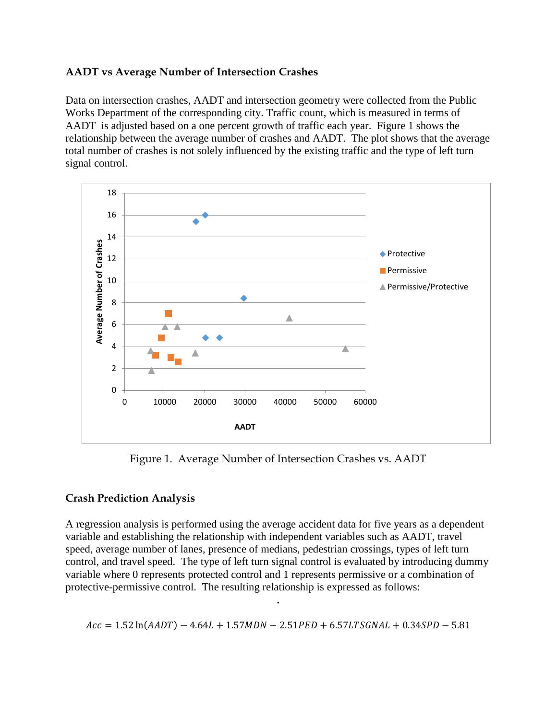#### **AADT vs Average Number of Intersection Crashes**

Data on intersection crashes, AADT and intersection geometry were collected from the Public Works Department of the corresponding city. Traffic count, which is measured in terms of AADT is adjusted based on a one percent growth of traffic each year. Figure 1 shows the relationship between the average number of crashes and AADT. The plot shows that the average total number of crashes is not solely influenced by the existing traffic and the type of left turn signal control.



Figure 1. Average Number of Intersection Crashes vs. AADT

#### **Crash Prediction Analysis**

A regression analysis is performed using the average accident data for five years as a dependent variable and establishing the relationship with independent variables such as AADT, travel speed, average number of lanes, presence of medians, pedestrian crossings, types of left turn control, and travel speed. The type of left turn signal control is evaluated by introducing dummy variable where 0 represents protected control and 1 represents permissive or a combination of protective-permissive control. The resulting relationship is expressed as follows:

$$
Acc = 1.52 \ln(AADT) - 4.64L + 1.57MDN - 2.51PED + 6.57LTSGNAL + 0.34SPD - 5.81
$$

**.**